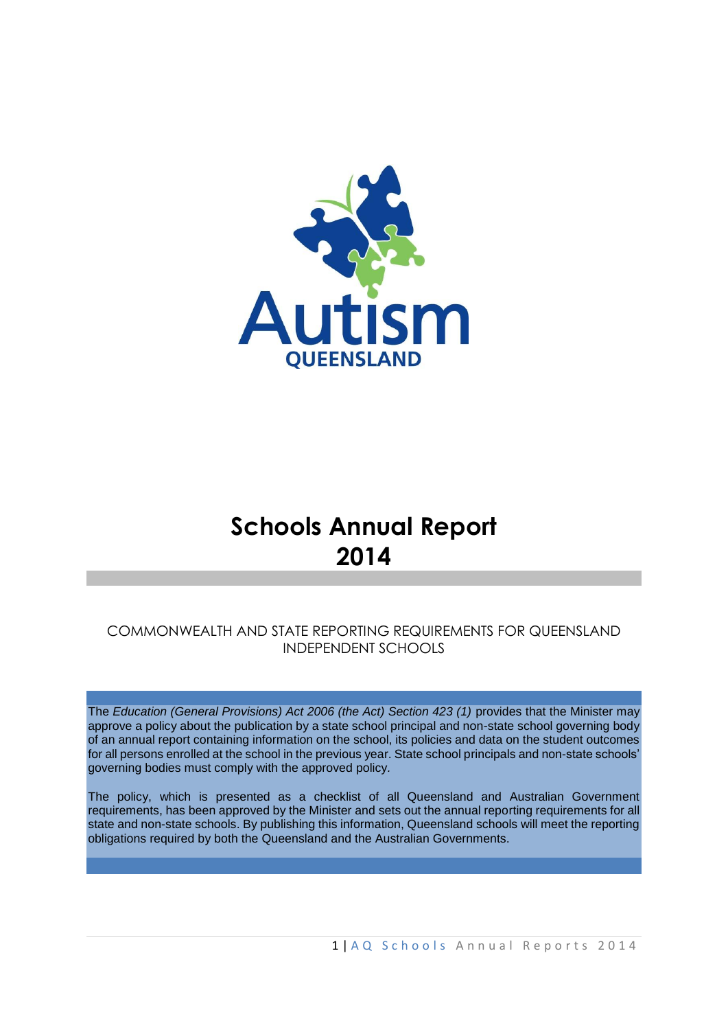

# **Schools Annual Report 2014**

### COMMONWEALTH AND STATE REPORTING REQUIREMENTS FOR QUEENSLAND INDEPENDENT SCHOOLS

The *Education (General Provisions) Act 2006 (the Act) Section 423 (1)* provides that the Minister may approve a policy about the publication by a state school principal and non-state school governing body of an annual report containing information on the school, its policies and data on the student outcomes for all persons enrolled at the school in the previous year. State school principals and non-state schools' governing bodies must comply with the approved policy*.* 

The policy, which is presented as a checklist of all Queensland and Australian Government requirements, has been approved by the Minister and sets out the annual reporting requirements for all state and non-state schools. By publishing this information, Queensland schools will meet the reporting obligations required by both the Queensland and the Australian Governments.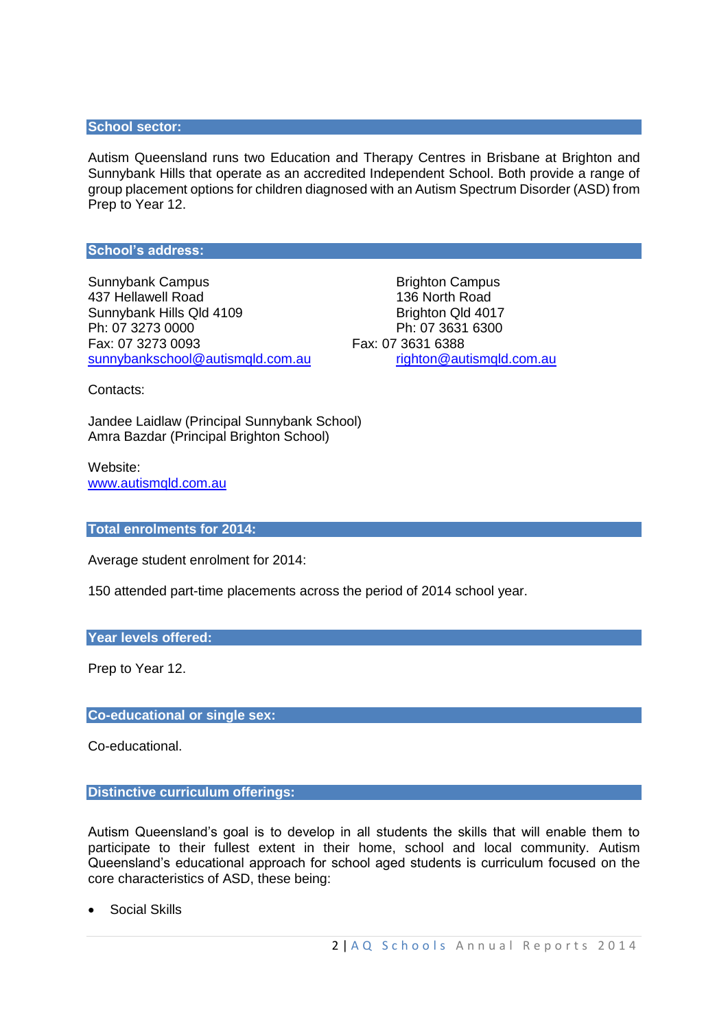#### **School sector:**

Autism Queensland runs two Education and Therapy Centres in Brisbane at Brighton and Sunnybank Hills that operate as an accredited Independent School. Both provide a range of group placement options for children diagnosed with an Autism Spectrum Disorder (ASD) from Prep to Year 12.

#### **School's address:**

Sunnybank Campus **Brighton Campus** Brighton Campus 437 Hellawell Road 136 North Road Sunnybank Hills Qld 4109 Brighton Qld 4017 Ph: 07 3273 0000 Ph: 07 3631 6300 Fax: 07 3273 0093 Fax: 07 3631 6388 [sunnybankschool@autismqld.com.au](mailto:sunnybankschool@autismqld.com.au) [righton@autismqld.com.au](mailto:righton@autismqld.com.au)

Contacts:

Jandee Laidlaw (Principal Sunnybank School) Amra Bazdar (Principal Brighton School)

Website: [www.autismqld.com.au](http://www.autismqld.com.au/)

#### **Total enrolments for 2014:**

Average student enrolment for 2014:

150 attended part-time placements across the period of 2014 school year.

#### **Year levels offered:**

Prep to Year 12.

#### **Co-educational or single sex:**

Co-educational.

#### **Distinctive curriculum offerings:**

Autism Queensland's goal is to develop in all students the skills that will enable them to participate to their fullest extent in their home, school and local community. Autism Queensland's educational approach for school aged students is curriculum focused on the core characteristics of ASD, these being:

Social Skills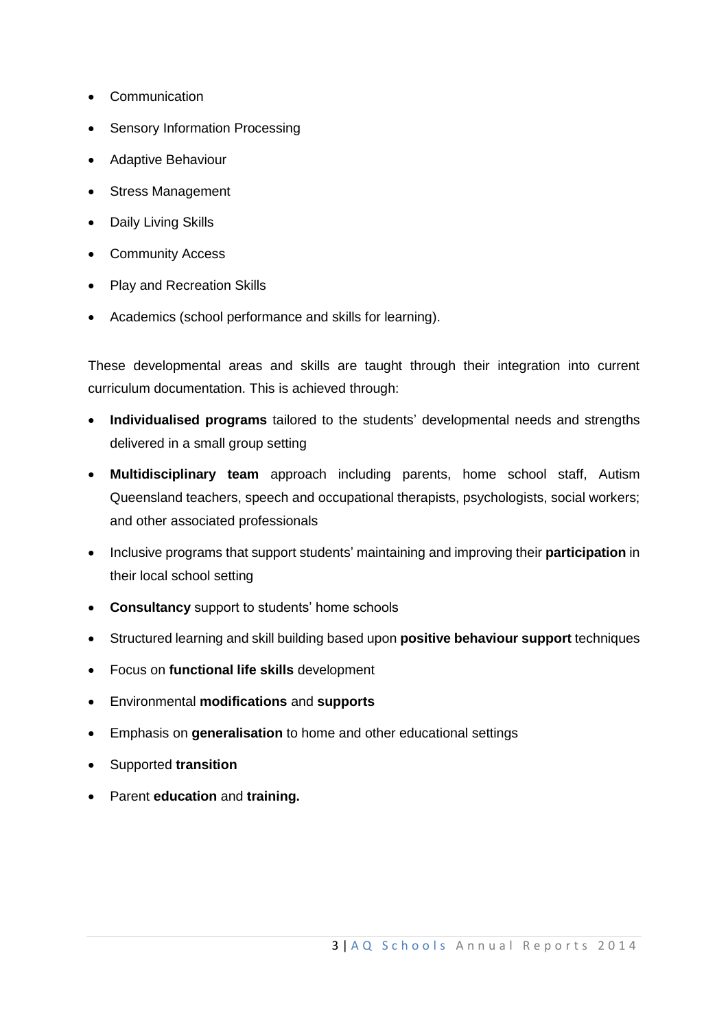- Communication
- Sensory Information Processing
- Adaptive Behaviour
- Stress Management
- Daily Living Skills
- Community Access
- Play and Recreation Skills
- Academics (school performance and skills for learning).

These developmental areas and skills are taught through their integration into current curriculum documentation. This is achieved through:

- **Individualised programs** tailored to the students' developmental needs and strengths delivered in a small group setting
- **Multidisciplinary team** approach including parents, home school staff, Autism Queensland teachers, speech and occupational therapists, psychologists, social workers; and other associated professionals
- Inclusive programs that support students' maintaining and improving their **participation** in their local school setting
- **Consultancy** support to students' home schools
- Structured learning and skill building based upon **positive behaviour support** techniques
- Focus on **functional life skills** development
- Environmental **modifications** and **supports**
- Emphasis on **generalisation** to home and other educational settings
- Supported **transition**
- Parent **education** and **training.**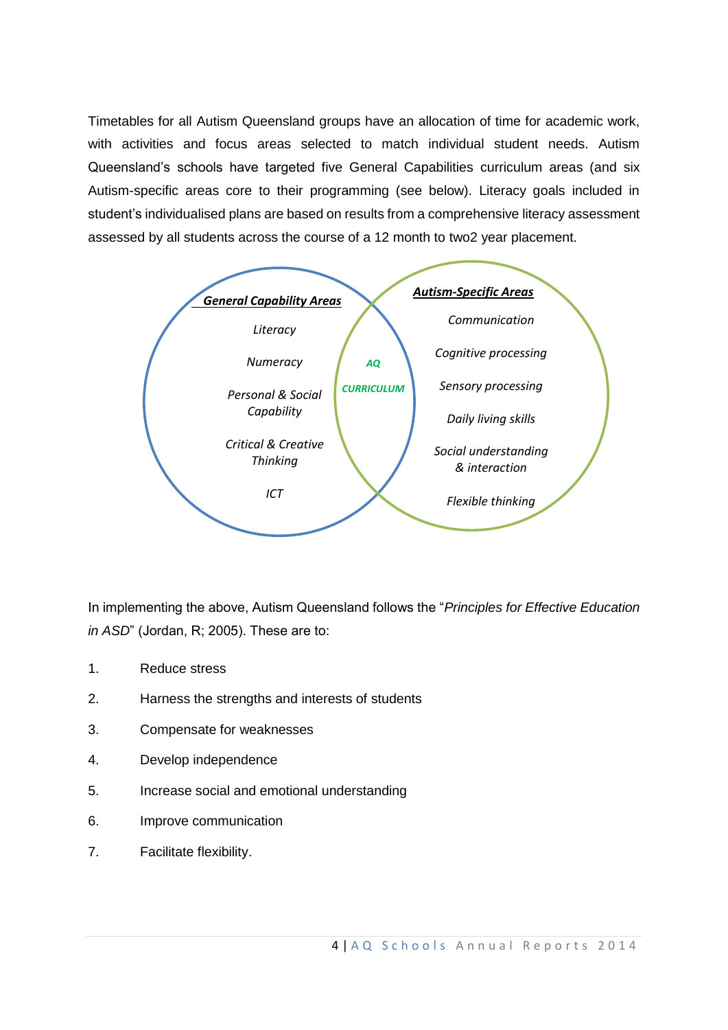Timetables for all Autism Queensland groups have an allocation of time for academic work, with activities and focus areas selected to match individual student needs. Autism Queensland's schools have targeted five General Capabilities curriculum areas (and six Autism-specific areas core to their programming (see below). Literacy goals included in student's individualised plans are based on results from a comprehensive literacy assessment assessed by all students across the course of a 12 month to two2 year placement.



In implementing the above, Autism Queensland follows the "*Principles for Effective Education in ASD*" (Jordan, R; 2005). These are to:

- 1. Reduce stress
- 2. Harness the strengths and interests of students
- 3. Compensate for weaknesses
- 4. Develop independence
- 5. Increase social and emotional understanding
- 6. Improve communication
- 7. Facilitate flexibility.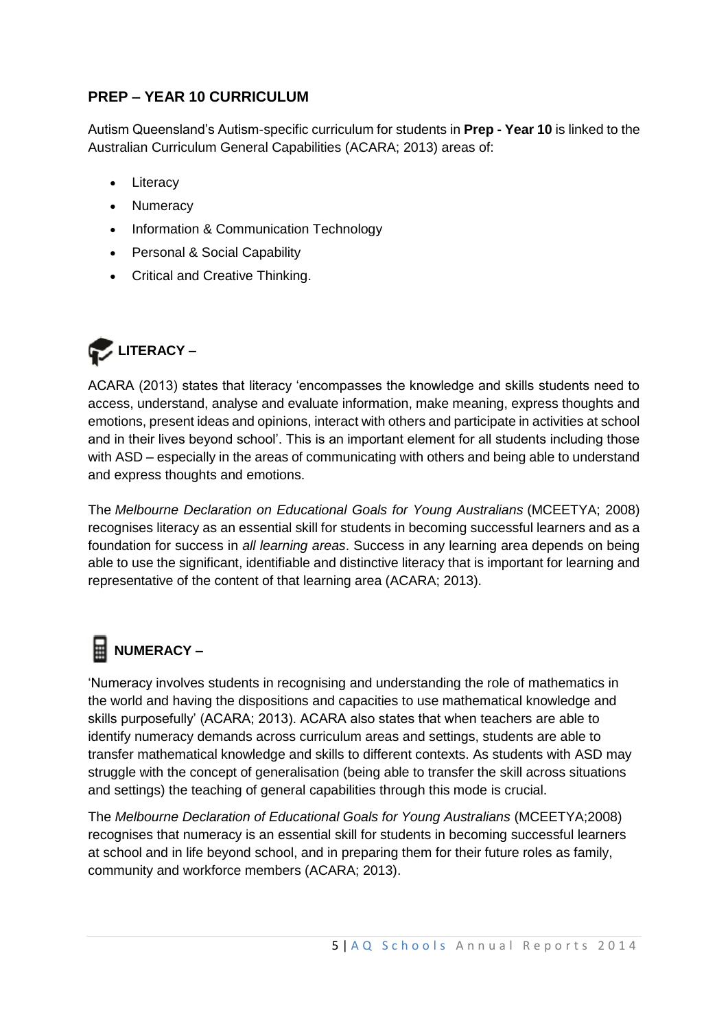## **PREP – YEAR 10 CURRICULUM**

Autism Queensland's Autism-specific curriculum for students in **Prep - Year 10** is linked to the Australian Curriculum General Capabilities (ACARA; 2013) areas of:

- Literacy
- Numeracy
- Information & Communication Technology
- Personal & Social Capability
- Critical and Creative Thinking.



ACARA (2013) states that literacy 'encompasses the knowledge and skills students need to access, understand, analyse and evaluate information, make meaning, express thoughts and emotions, present ideas and opinions, interact with others and participate in activities at school and in their lives beyond school'. This is an important element for all students including those with ASD – especially in the areas of communicating with others and being able to understand and express thoughts and emotions.

The *Melbourne Declaration on Educational Goals for Young Australians* (MCEETYA; 2008) recognises literacy as an essential skill for students in becoming successful learners and as a foundation for success in *all learning areas*. Success in any learning area depends on being able to use the significant, identifiable and distinctive literacy that is important for learning and representative of the content of that learning area (ACARA; 2013).

# **NUMERACY –**

'Numeracy involves students in recognising and understanding the role of mathematics in the world and having the dispositions and capacities to use mathematical knowledge and skills purposefully' (ACARA; 2013). ACARA also states that when teachers are able to identify numeracy demands across curriculum areas and settings, students are able to transfer mathematical knowledge and skills to different contexts. As students with ASD may struggle with the concept of generalisation (being able to transfer the skill across situations and settings) the teaching of general capabilities through this mode is crucial.

The *Melbourne Declaration of Educational Goals for Young Australians* (MCEETYA;2008) recognises that numeracy is an essential skill for students in becoming successful learners at school and in life beyond school, and in preparing them for their future roles as family, community and workforce members (ACARA; 2013).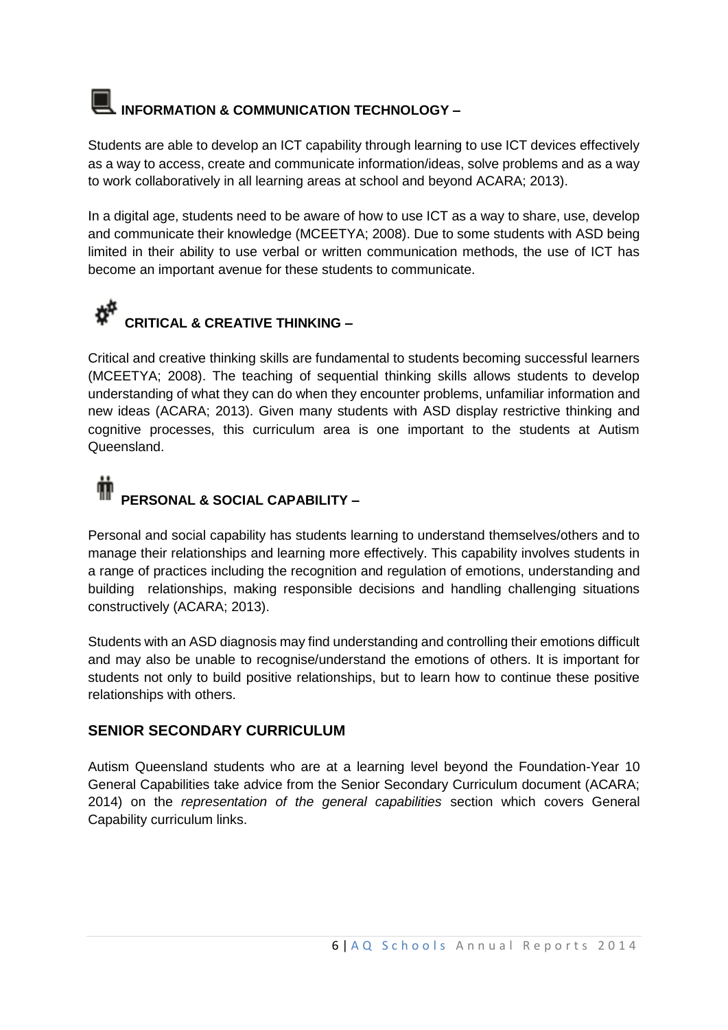# **INFORMATION & COMMUNICATION TECHNOLOGY –**

Students are able to develop an ICT capability through learning to use ICT devices effectively as a way to access, create and communicate information/ideas, solve problems and as a way to work collaboratively in all learning areas at school and beyond ACARA; 2013).

In a digital age, students need to be aware of how to use ICT as a way to share, use, develop and communicate their knowledge (MCEETYA; 2008). Due to some students with ASD being limited in their ability to use verbal or written communication methods, the use of ICT has become an important avenue for these students to communicate.

# **CRITICAL & CREATIVE THINKING –**

Critical and creative thinking skills are fundamental to students becoming successful learners (MCEETYA; 2008). The teaching of sequential thinking skills allows students to develop understanding of what they can do when they encounter problems, unfamiliar information and new ideas (ACARA; 2013). Given many students with ASD display restrictive thinking and cognitive processes, this curriculum area is one important to the students at Autism Queensland.

## Ŵ **PERSONAL & SOCIAL CAPABILITY –**

Personal and social capability has students learning to understand themselves/others and to manage their relationships and learning more effectively. This capability involves students in a range of practices including the recognition and regulation of emotions, understanding and building relationships, making responsible decisions and handling challenging situations constructively (ACARA; 2013).

Students with an ASD diagnosis may find understanding and controlling their emotions difficult and may also be unable to recognise/understand the emotions of others. It is important for students not only to build positive relationships, but to learn how to continue these positive relationships with others.

## **SENIOR SECONDARY CURRICULUM**

Autism Queensland students who are at a learning level beyond the Foundation-Year 10 General Capabilities take advice from the Senior Secondary Curriculum document (ACARA; 2014) on the *representation of the general capabilities* section which covers General Capability curriculum links.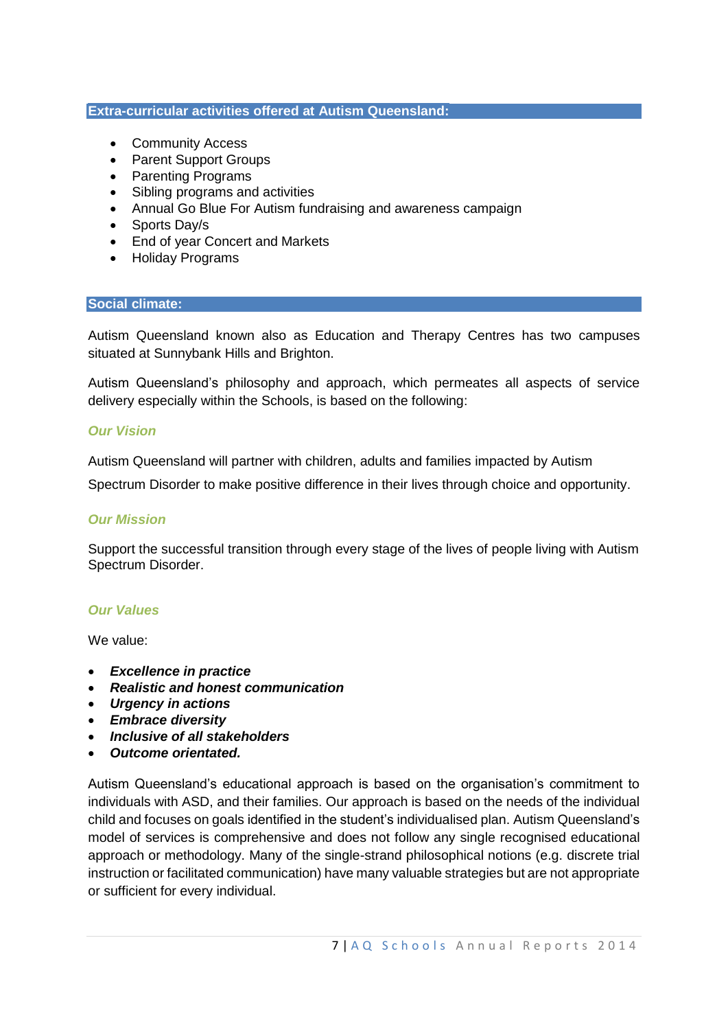#### **Extra-curricular activities offered at Autism Queensland:**

- Community Access
- Parent Support Groups
- Parenting Programs
- Sibling programs and activities
- Annual Go Blue For Autism fundraising and awareness campaign
- Sports Day/s
- End of year Concert and Markets
- Holiday Programs

#### **Social climate:**

Autism Queensland known also as Education and Therapy Centres has two campuses situated at Sunnybank Hills and Brighton.

Autism Queensland's philosophy and approach, which permeates all aspects of service delivery especially within the Schools, is based on the following:

#### *Our Vision*

Autism Queensland will partner with children, adults and families impacted by Autism

Spectrum Disorder to make positive difference in their lives through choice and opportunity.

#### *Our Mission*

Support the successful transition through every stage of the lives of people living with Autism Spectrum Disorder.

#### *Our Values*

We value:

- *Excellence in practice*
- *Realistic and honest communication*
- *Urgency in actions*
- *Embrace diversity*
- *Inclusive of all stakeholders*
- *Outcome orientated.*

Autism Queensland's educational approach is based on the organisation's commitment to individuals with ASD, and their families. Our approach is based on the needs of the individual child and focuses on goals identified in the student's individualised plan. Autism Queensland's model of services is comprehensive and does not follow any single recognised educational approach or methodology. Many of the single-strand philosophical notions (e.g. discrete trial instruction or facilitated communication) have many valuable strategies but are not appropriate or sufficient for every individual.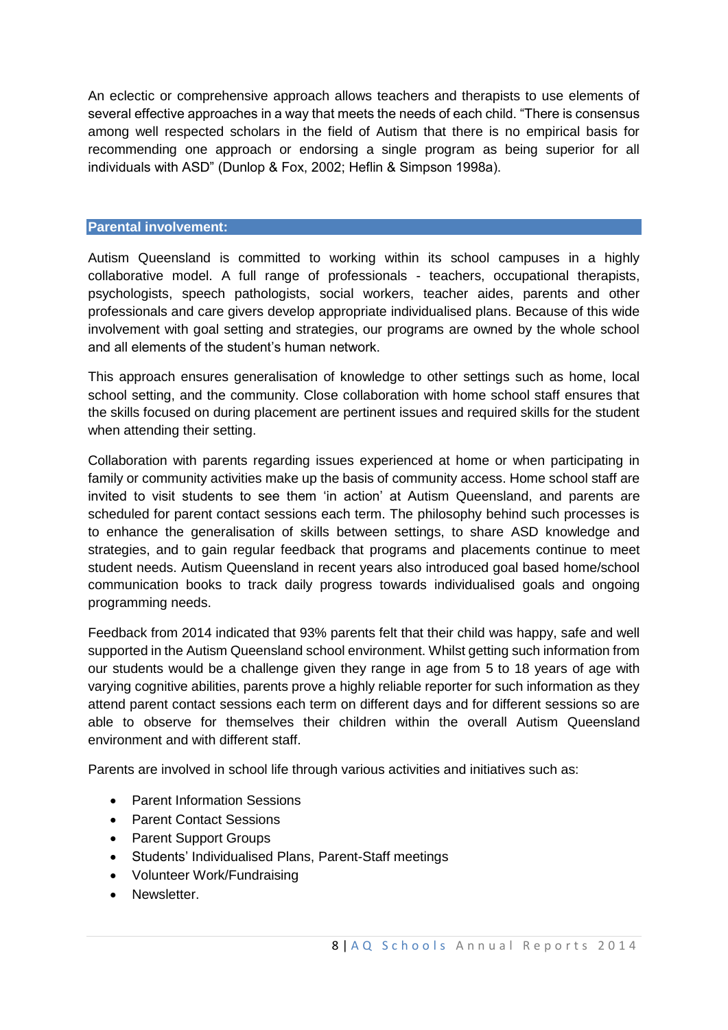An eclectic or comprehensive approach allows teachers and therapists to use elements of several effective approaches in a way that meets the needs of each child. "There is consensus among well respected scholars in the field of Autism that there is no empirical basis for recommending one approach or endorsing a single program as being superior for all individuals with ASD" (Dunlop & Fox, 2002; Heflin & Simpson 1998a).

#### **Parental involvement:**

Autism Queensland is committed to working within its school campuses in a highly collaborative model. A full range of professionals - teachers, occupational therapists, psychologists, speech pathologists, social workers, teacher aides, parents and other professionals and care givers develop appropriate individualised plans. Because of this wide involvement with goal setting and strategies, our programs are owned by the whole school and all elements of the student's human network.

This approach ensures generalisation of knowledge to other settings such as home, local school setting, and the community. Close collaboration with home school staff ensures that the skills focused on during placement are pertinent issues and required skills for the student when attending their setting.

Collaboration with parents regarding issues experienced at home or when participating in family or community activities make up the basis of community access. Home school staff are invited to visit students to see them 'in action' at Autism Queensland, and parents are scheduled for parent contact sessions each term. The philosophy behind such processes is to enhance the generalisation of skills between settings, to share ASD knowledge and strategies, and to gain regular feedback that programs and placements continue to meet student needs. Autism Queensland in recent years also introduced goal based home/school communication books to track daily progress towards individualised goals and ongoing programming needs.

Feedback from 2014 indicated that 93% parents felt that their child was happy, safe and well supported in the Autism Queensland school environment. Whilst getting such information from our students would be a challenge given they range in age from 5 to 18 years of age with varying cognitive abilities, parents prove a highly reliable reporter for such information as they attend parent contact sessions each term on different days and for different sessions so are able to observe for themselves their children within the overall Autism Queensland environment and with different staff.

Parents are involved in school life through various activities and initiatives such as:

- Parent Information Sessions
- Parent Contact Sessions
- Parent Support Groups
- Students' Individualised Plans, Parent-Staff meetings
- Volunteer Work/Fundraising
- Newsletter.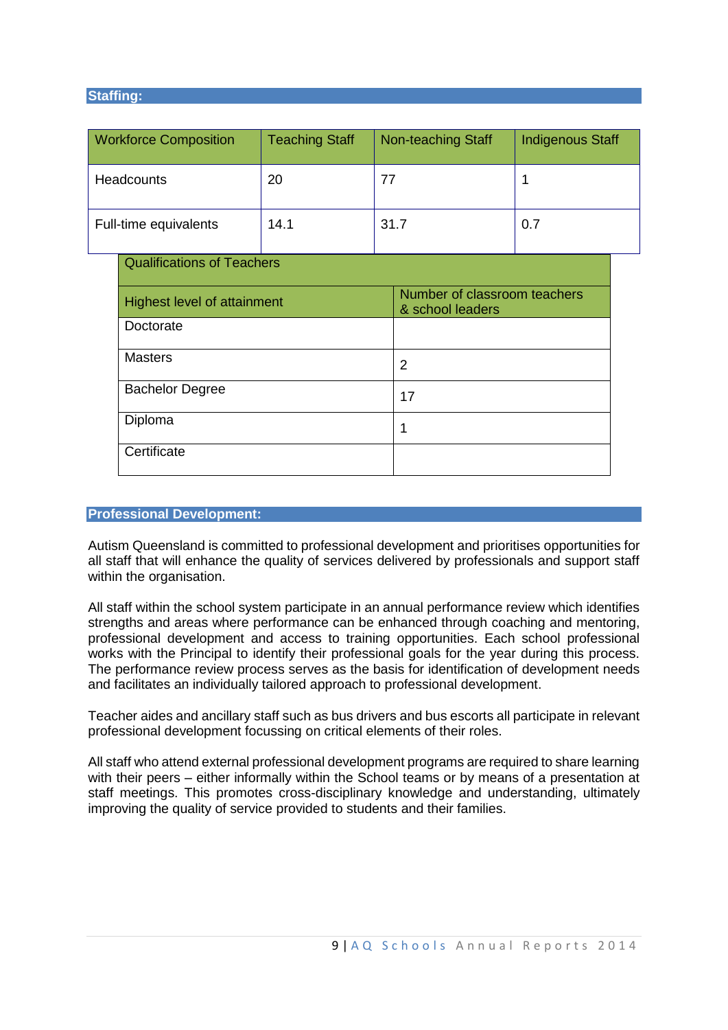#### **Staffing:**

| <b>Workforce Composition</b> |                                    | <b>Teaching Staff</b> | <b>Non-teaching Staff</b> |                                                  | <b>Indigenous Staff</b> |
|------------------------------|------------------------------------|-----------------------|---------------------------|--------------------------------------------------|-------------------------|
| <b>Headcounts</b>            |                                    | 20                    | 77                        |                                                  | 1                       |
| Full-time equivalents        |                                    | 14.1                  | 31.7                      |                                                  | 0.7                     |
|                              | <b>Qualifications of Teachers</b>  |                       |                           |                                                  |                         |
|                              | <b>Highest level of attainment</b> |                       |                           | Number of classroom teachers<br>& school leaders |                         |
|                              | Doctorate<br><b>Masters</b>        |                       |                           |                                                  |                         |
|                              |                                    |                       | $\overline{2}$            |                                                  |                         |
|                              | <b>Bachelor Degree</b>             |                       | 17                        |                                                  |                         |
|                              | Diploma                            |                       | 1                         |                                                  |                         |
|                              | Certificate                        |                       |                           |                                                  |                         |

#### **Professional Development:**

Autism Queensland is committed to professional development and prioritises opportunities for all staff that will enhance the quality of services delivered by professionals and support staff within the organisation.

All staff within the school system participate in an annual performance review which identifies strengths and areas where performance can be enhanced through coaching and mentoring, professional development and access to training opportunities. Each school professional works with the Principal to identify their professional goals for the year during this process. The performance review process serves as the basis for identification of development needs and facilitates an individually tailored approach to professional development.

Teacher aides and ancillary staff such as bus drivers and bus escorts all participate in relevant professional development focussing on critical elements of their roles.

All staff who attend external professional development programs are required to share learning with their peers – either informally within the School teams or by means of a presentation at staff meetings. This promotes cross-disciplinary knowledge and understanding, ultimately improving the quality of service provided to students and their families.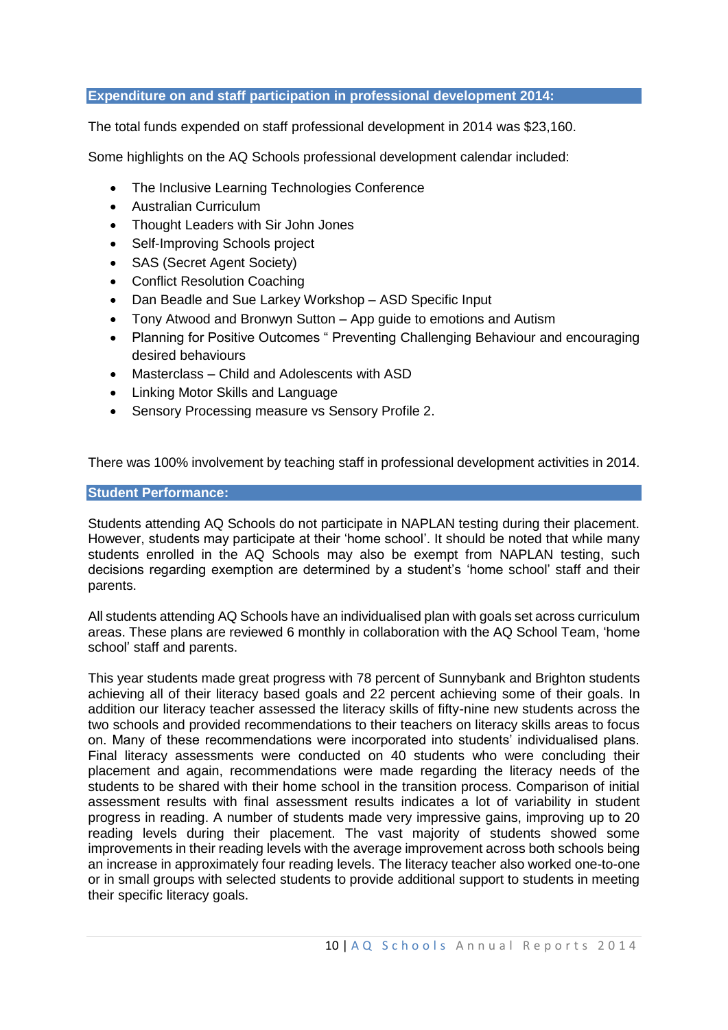#### **Expenditure on and staff participation in professional development 2014:**

The total funds expended on staff professional development in 2014 was \$23,160.

Some highlights on the AQ Schools professional development calendar included:

- The Inclusive Learning Technologies Conference
- Australian Curriculum
- Thought Leaders with Sir John Jones
- Self-Improving Schools project
- SAS (Secret Agent Society)
- Conflict Resolution Coaching
- Dan Beadle and Sue Larkey Workshop ASD Specific Input
- Tony Atwood and Bronwyn Sutton App guide to emotions and Autism
- Planning for Positive Outcomes " Preventing Challenging Behaviour and encouraging desired behaviours
- Masterclass Child and Adolescents with ASD
- Linking Motor Skills and Language
- Sensory Processing measure vs Sensory Profile 2.

There was 100% involvement by teaching staff in professional development activities in 2014.

#### **Student Performance:**

Students attending AQ Schools do not participate in NAPLAN testing during their placement. However, students may participate at their 'home school'. It should be noted that while many students enrolled in the AQ Schools may also be exempt from NAPLAN testing, such decisions regarding exemption are determined by a student's 'home school' staff and their parents.

All students attending AQ Schools have an individualised plan with goals set across curriculum areas. These plans are reviewed 6 monthly in collaboration with the AQ School Team, 'home school' staff and parents.

This year students made great progress with 78 percent of Sunnybank and Brighton students achieving all of their literacy based goals and 22 percent achieving some of their goals. In addition our literacy teacher assessed the literacy skills of fifty-nine new students across the two schools and provided recommendations to their teachers on literacy skills areas to focus on. Many of these recommendations were incorporated into students' individualised plans. Final literacy assessments were conducted on 40 students who were concluding their placement and again, recommendations were made regarding the literacy needs of the students to be shared with their home school in the transition process. Comparison of initial assessment results with final assessment results indicates a lot of variability in student progress in reading. A number of students made very impressive gains, improving up to 20 reading levels during their placement. The vast majority of students showed some improvements in their reading levels with the average improvement across both schools being an increase in approximately four reading levels. The literacy teacher also worked one-to-one or in small groups with selected students to provide additional support to students in meeting their specific literacy goals.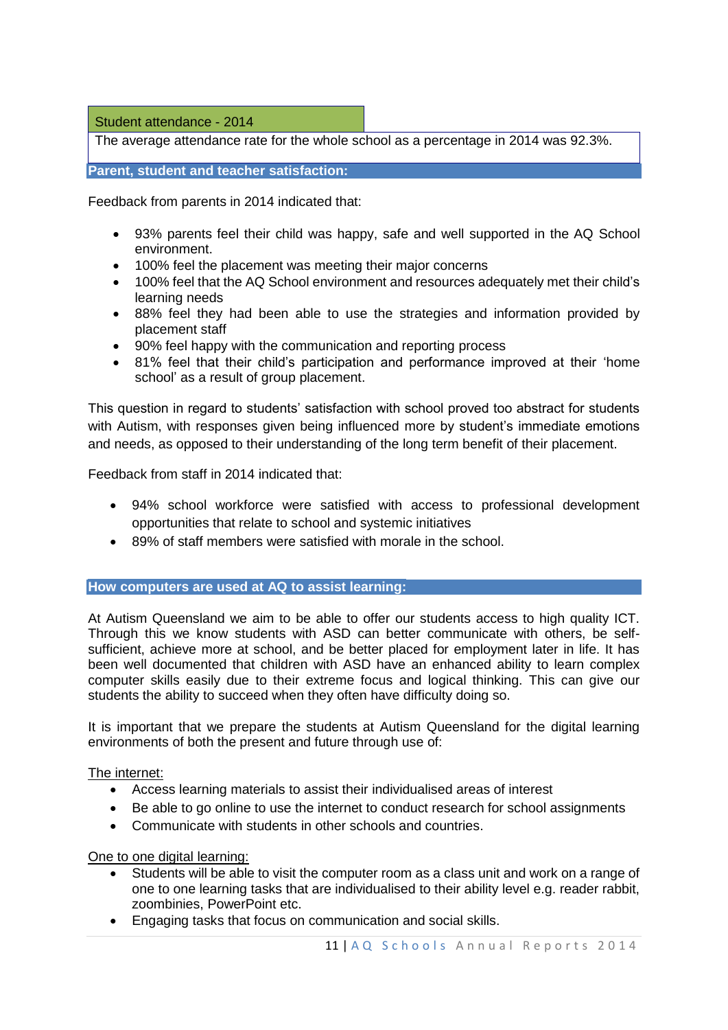Student attendance - 2014

The average attendance rate for the whole school as a percentage in 2014 was 92.3%.

**Parent, student and teacher satisfaction:** 

Feedback from parents in 2014 indicated that:

- 93% parents feel their child was happy, safe and well supported in the AQ School environment.
- 100% feel the placement was meeting their major concerns
- 100% feel that the AQ School environment and resources adequately met their child's learning needs
- 88% feel they had been able to use the strategies and information provided by placement staff
- 90% feel happy with the communication and reporting process
- 81% feel that their child's participation and performance improved at their 'home school' as a result of group placement.

This question in regard to students' satisfaction with school proved too abstract for students with Autism, with responses given being influenced more by student's immediate emotions and needs, as opposed to their understanding of the long term benefit of their placement.

Feedback from staff in 2014 indicated that:

- 94% school workforce were satisfied with access to professional development opportunities that relate to school and systemic initiatives
- 89% of staff members were satisfied with morale in the school.

#### **How computers are used at AQ to assist learning:**

At Autism Queensland we aim to be able to offer our students access to high quality ICT. Through this we know students with ASD can better communicate with others, be selfsufficient, achieve more at school, and be better placed for employment later in life. It has been well documented that children with ASD have an enhanced ability to learn complex computer skills easily due to their extreme focus and logical thinking. This can give our students the ability to succeed when they often have difficulty doing so.

It is important that we prepare the students at Autism Queensland for the digital learning environments of both the present and future through use of:

#### The internet:

- Access learning materials to assist their individualised areas of interest
- Be able to go online to use the internet to conduct research for school assignments
- Communicate with students in other schools and countries.

One to one digital learning:

- Students will be able to visit the computer room as a class unit and work on a range of one to one learning tasks that are individualised to their ability level e.g. reader rabbit, zoombinies. PowerPoint etc.
- Engaging tasks that focus on communication and social skills.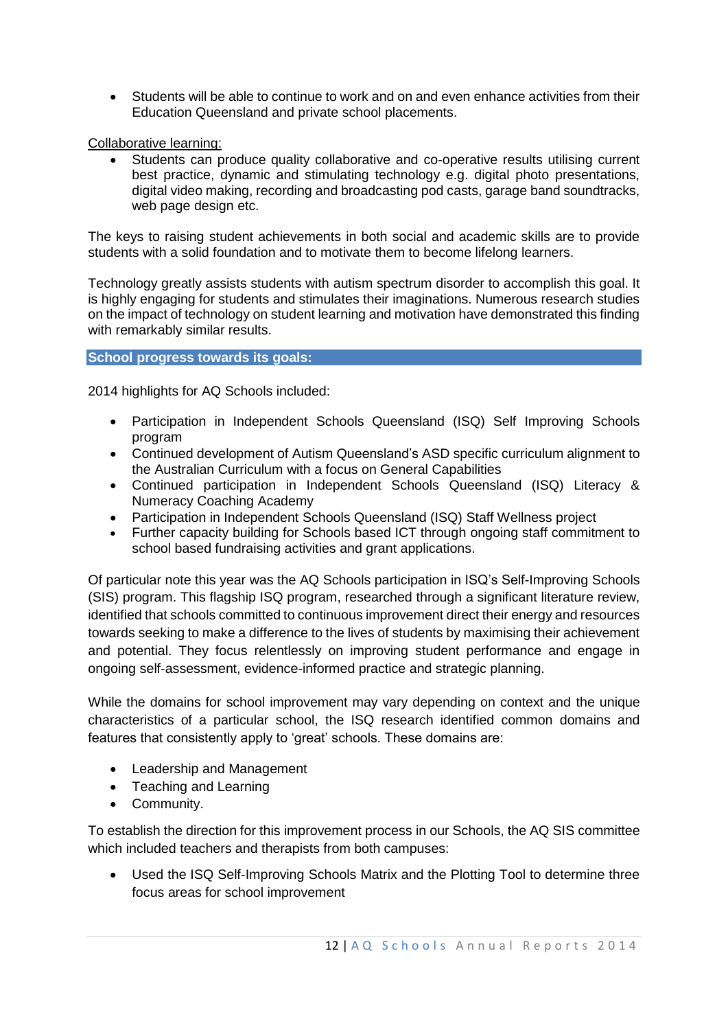Students will be able to continue to work and on and even enhance activities from their Education Queensland and private school placements.

Collaborative learning:

 Students can produce quality collaborative and co-operative results utilising current best practice, dynamic and stimulating technology e.g. digital photo presentations, digital video making, recording and broadcasting pod casts, garage band soundtracks, web page design etc.

The keys to raising student achievements in both social and academic skills are to provide students with a solid foundation and to motivate them to become lifelong learners.

Technology greatly assists students with autism spectrum disorder to accomplish this goal. It is highly engaging for students and stimulates their imaginations. Numerous research studies on the impact of technology on student learning and motivation have demonstrated this finding with remarkably similar results.

#### **School progress towards its goals:**

2014 highlights for AQ Schools included:

- Participation in Independent Schools Queensland (ISQ) Self Improving Schools program
- Continued development of Autism Queensland's ASD specific curriculum alignment to the Australian Curriculum with a focus on General Capabilities
- Continued participation in Independent Schools Queensland (ISQ) Literacy & Numeracy Coaching Academy
- Participation in Independent Schools Queensland (ISQ) Staff Wellness project
- Further capacity building for Schools based ICT through ongoing staff commitment to school based fundraising activities and grant applications.

Of particular note this year was the AQ Schools participation in ISQ's Self-Improving Schools (SIS) program. This flagship ISQ program, researched through a significant literature review, identified that schools committed to continuous improvement direct their energy and resources towards seeking to make a difference to the lives of students by maximising their achievement and potential. They focus relentlessly on improving student performance and engage in ongoing self-assessment, evidence-informed practice and strategic planning.

While the domains for school improvement may vary depending on context and the unique characteristics of a particular school, the ISQ research identified common domains and features that consistently apply to 'great' schools. These domains are:

- Leadership and Management
- Teaching and Learning
- Community.

To establish the direction for this improvement process in our Schools, the AQ SIS committee which included teachers and therapists from both campuses:

 Used the ISQ Self-Improving Schools Matrix and the Plotting Tool to determine three focus areas for school improvement